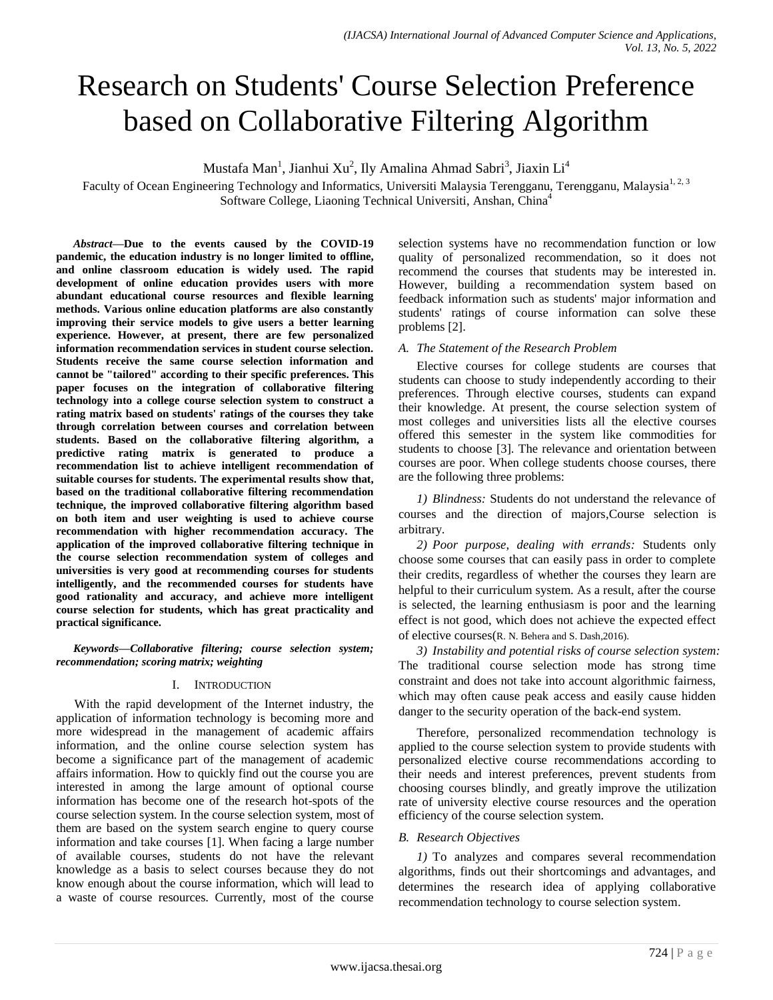# Research on Students' Course Selection Preference based on Collaborative Filtering Algorithm

Mustafa Man<sup>1</sup>, Jianhui Xu<sup>2</sup>, Ily Amalina Ahmad Sabri<sup>3</sup>, Jiaxin Li<sup>4</sup>

Faculty of Ocean Engineering Technology and Informatics, Universiti Malaysia Terengganu, Terengganu, Malaysia<sup>1, 2, 3</sup> Software College, Liaoning Technical Universiti, Anshan, China<sup>4</sup>

*Abstract***—Due to the events caused by the COVID-19 pandemic, the education industry is no longer limited to offline, and online classroom education is widely used. The rapid development of online education provides users with more abundant educational course resources and flexible learning methods. Various online education platforms are also constantly improving their service models to give users a better learning experience. However, at present, there are few personalized information recommendation services in student course selection. Students receive the same course selection information and cannot be "tailored" according to their specific preferences. This paper focuses on the integration of collaborative filtering technology into a college course selection system to construct a rating matrix based on students' ratings of the courses they take through correlation between courses and correlation between students. Based on the collaborative filtering algorithm, a predictive rating matrix is generated to produce a recommendation list to achieve intelligent recommendation of suitable courses for students. The experimental results show that, based on the traditional collaborative filtering recommendation technique, the improved collaborative filtering algorithm based on both item and user weighting is used to achieve course recommendation with higher recommendation accuracy. The application of the improved collaborative filtering technique in the course selection recommendation system of colleges and universities is very good at recommending courses for students intelligently, and the recommended courses for students have good rationality and accuracy, and achieve more intelligent course selection for students, which has great practicality and practical significance.**

*Keywords—Collaborative filtering; course selection system; recommendation; scoring matrix; weighting*

## I. INTRODUCTION

With the rapid development of the Internet industry, the application of information technology is becoming more and more widespread in the management of academic affairs information, and the online course selection system has become a significance part of the management of academic affairs information. How to quickly find out the course you are interested in among the large amount of optional course information has become one of the research hot-spots of the course selection system. In the course selection system, most of them are based on the system search engine to query course information and take courses [1]. When facing a large number of available courses, students do not have the relevant knowledge as a basis to select courses because they do not know enough about the course information, which will lead to a waste of course resources. Currently, most of the course selection systems have no recommendation function or low quality of personalized recommendation, so it does not recommend the courses that students may be interested in. However, building a recommendation system based on feedback information such as students' major information and students' ratings of course information can solve these problems [2].

## *A. The Statement of the Research Problem*

Elective courses for college students are courses that students can choose to study independently according to their preferences. Through elective courses, students can expand their knowledge. At present, the course selection system of most colleges and universities lists all the elective courses offered this semester in the system like commodities for students to choose [3]. The relevance and orientation between courses are poor. When college students choose courses, there are the following three problems:

*1) Blindness:* Students do not understand the relevance of courses and the direction of majors,Course selection is arbitrary.

*2) Poor purpose, dealing with errands:* Students only choose some courses that can easily pass in order to complete their credits, regardless of whether the courses they learn are helpful to their curriculum system. As a result, after the course is selected, the learning enthusiasm is poor and the learning effect is not good, which does not achieve the expected effect of elective courses(R. N. Behera and S. Dash,2016).

*3) Instability and potential risks of course selection system:* The traditional course selection mode has strong time constraint and does not take into account algorithmic fairness, which may often cause peak access and easily cause hidden danger to the security operation of the back-end system.

Therefore, personalized recommendation technology is applied to the course selection system to provide students with personalized elective course recommendations according to their needs and interest preferences, prevent students from choosing courses blindly, and greatly improve the utilization rate of university elective course resources and the operation efficiency of the course selection system.

## *B. Research Objectives*

*1)* To analyzes and compares several recommendation algorithms, finds out their shortcomings and advantages, and determines the research idea of applying collaborative recommendation technology to course selection system.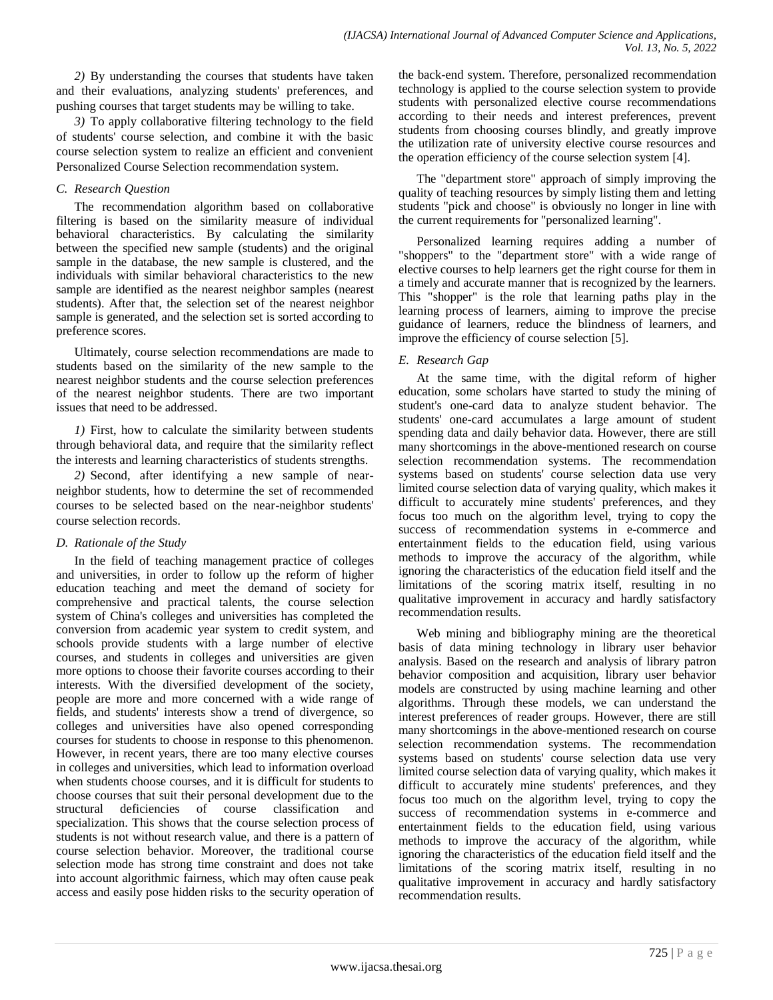*2)* By understanding the courses that students have taken and their evaluations, analyzing students' preferences, and pushing courses that target students may be willing to take.

*3)* To apply collaborative filtering technology to the field of students' course selection, and combine it with the basic course selection system to realize an efficient and convenient Personalized Course Selection recommendation system.

## *C. Research Question*

The recommendation algorithm based on collaborative filtering is based on the similarity measure of individual behavioral characteristics. By calculating the similarity between the specified new sample (students) and the original sample in the database, the new sample is clustered, and the individuals with similar behavioral characteristics to the new sample are identified as the nearest neighbor samples (nearest students). After that, the selection set of the nearest neighbor sample is generated, and the selection set is sorted according to preference scores.

Ultimately, course selection recommendations are made to students based on the similarity of the new sample to the nearest neighbor students and the course selection preferences of the nearest neighbor students. There are two important issues that need to be addressed.

*1)* First, how to calculate the similarity between students through behavioral data, and require that the similarity reflect the interests and learning characteristics of students strengths.

*2)* Second, after identifying a new sample of nearneighbor students, how to determine the set of recommended courses to be selected based on the near-neighbor students' course selection records.

# *D. Rationale of the Study*

In the field of teaching management practice of colleges and universities, in order to follow up the reform of higher education teaching and meet the demand of society for comprehensive and practical talents, the course selection system of China's colleges and universities has completed the conversion from academic year system to credit system, and schools provide students with a large number of elective courses, and students in colleges and universities are given more options to choose their favorite courses according to their interests. With the diversified development of the society, people are more and more concerned with a wide range of fields, and students' interests show a trend of divergence, so colleges and universities have also opened corresponding courses for students to choose in response to this phenomenon. However, in recent years, there are too many elective courses in colleges and universities, which lead to information overload when students choose courses, and it is difficult for students to choose courses that suit their personal development due to the structural deficiencies of course classification and specialization. This shows that the course selection process of students is not without research value, and there is a pattern of course selection behavior. Moreover, the traditional course selection mode has strong time constraint and does not take into account algorithmic fairness, which may often cause peak access and easily pose hidden risks to the security operation of

the back-end system. Therefore, personalized recommendation technology is applied to the course selection system to provide students with personalized elective course recommendations according to their needs and interest preferences, prevent students from choosing courses blindly, and greatly improve the utilization rate of university elective course resources and the operation efficiency of the course selection system [4].

The "department store" approach of simply improving the quality of teaching resources by simply listing them and letting students "pick and choose" is obviously no longer in line with the current requirements for "personalized learning".

Personalized learning requires adding a number of "shoppers" to the "department store" with a wide range of elective courses to help learners get the right course for them in a timely and accurate manner that is recognized by the learners. This "shopper" is the role that learning paths play in the learning process of learners, aiming to improve the precise guidance of learners, reduce the blindness of learners, and improve the efficiency of course selection [5].

# *E. Research Gap*

At the same time, with the digital reform of higher education, some scholars have started to study the mining of student's one-card data to analyze student behavior. The students' one-card accumulates a large amount of student spending data and daily behavior data. However, there are still many shortcomings in the above-mentioned research on course selection recommendation systems. The recommendation systems based on students' course selection data use very limited course selection data of varying quality, which makes it difficult to accurately mine students' preferences, and they focus too much on the algorithm level, trying to copy the success of recommendation systems in e-commerce and entertainment fields to the education field, using various methods to improve the accuracy of the algorithm, while ignoring the characteristics of the education field itself and the limitations of the scoring matrix itself, resulting in no qualitative improvement in accuracy and hardly satisfactory recommendation results.

Web mining and bibliography mining are the theoretical basis of data mining technology in library user behavior analysis. Based on the research and analysis of library patron behavior composition and acquisition, library user behavior models are constructed by using machine learning and other algorithms. Through these models, we can understand the interest preferences of reader groups. However, there are still many shortcomings in the above-mentioned research on course selection recommendation systems. The recommendation systems based on students' course selection data use very limited course selection data of varying quality, which makes it difficult to accurately mine students' preferences, and they focus too much on the algorithm level, trying to copy the success of recommendation systems in e-commerce and entertainment fields to the education field, using various methods to improve the accuracy of the algorithm, while ignoring the characteristics of the education field itself and the limitations of the scoring matrix itself, resulting in no qualitative improvement in accuracy and hardly satisfactory recommendation results.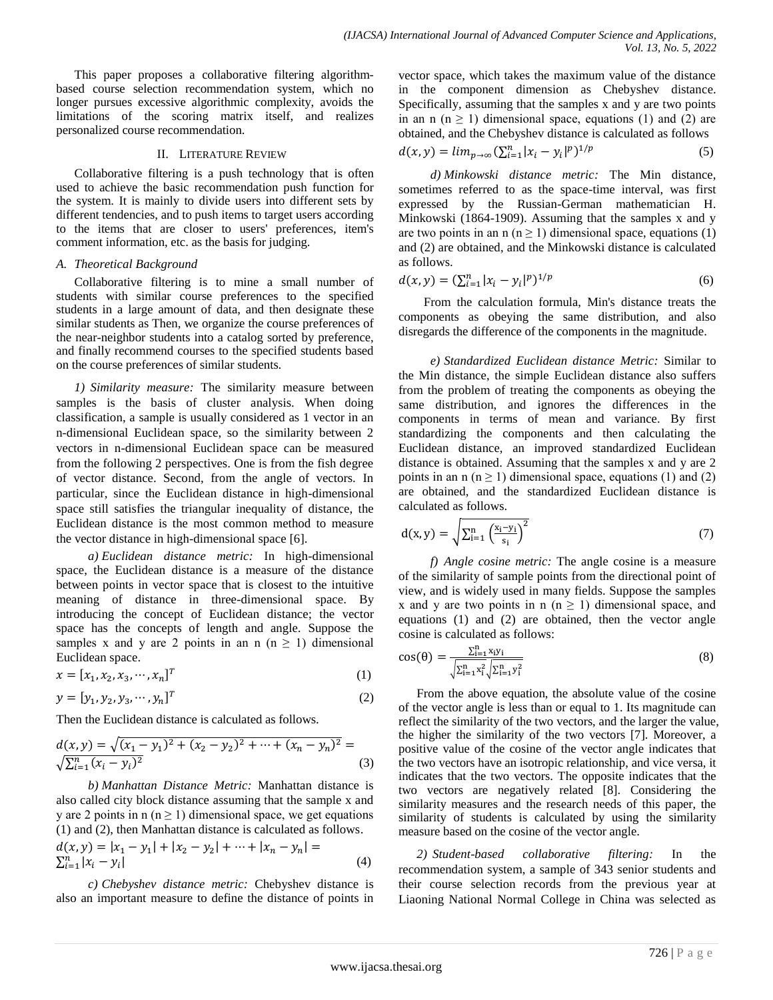This paper proposes a collaborative filtering algorithmbased course selection recommendation system, which no longer pursues excessive algorithmic complexity, avoids the limitations of the scoring matrix itself, and realizes personalized course recommendation.

## II. LITERATURE REVIEW

Collaborative filtering is a push technology that is often used to achieve the basic recommendation push function for the system. It is mainly to divide users into different sets by different tendencies, and to push items to target users according to the items that are closer to users' preferences, item's comment information, etc. as the basis for judging.

# *A. Theoretical Background*

Collaborative filtering is to mine a small number of students with similar course preferences to the specified students in a large amount of data, and then designate these similar students as Then, we organize the course preferences of the near-neighbor students into a catalog sorted by preference, and finally recommend courses to the specified students based on the course preferences of similar students.

*1) Similarity measure:* The similarity measure between samples is the basis of cluster analysis. When doing classification, a sample is usually considered as 1 vector in an n-dimensional Euclidean space, so the similarity between 2 vectors in n-dimensional Euclidean space can be measured from the following 2 perspectives. One is from the fish degree of vector distance. Second, from the angle of vectors. In particular, since the Euclidean distance in high-dimensional space still satisfies the triangular inequality of distance, the Euclidean distance is the most common method to measure the vector distance in high-dimensional space [6].

*a) Euclidean distance metric:* In high-dimensional space, the Euclidean distance is a measure of the distance between points in vector space that is closest to the intuitive meaning of distance in three-dimensional space. By introducing the concept of Euclidean distance; the vector space has the concepts of length and angle. Suppose the samples x and y are 2 points in an n  $(n \ge 1)$  dimensional Euclidean space.

$$
x = [x_1, x_2, x_3, \cdots, x_n]^T
$$
 (1)

 $y = [y_1, y_2, y_3, \cdots, y_n]^T$ (2)

Then the Euclidean distance is calculated as follows.

$$
\frac{d(x,y) = \sqrt{(x_1 - y_1)^2 + (x_2 - y_2)^2 + \dots + (x_n - y_n)^2}}{\sqrt{\sum_{i=1}^n (x_i - y_i)^2}} = (3)
$$

*b) Manhattan Distance Metric:* Manhattan distance is also called city block distance assuming that the sample x and y are 2 points in  $n (n \ge 1)$  dimensional space, we get equations (1) and (2), then Manhattan distance is calculated as follows.

$$
d(x, y) = |x_1 - y_1| + |x_2 - y_2| + \dots + |x_n - y_n| =
$$
  

$$
\sum_{i=1}^{n} |x_i - y_i|
$$
 (4)

*c) Chebyshev distance metric:* Chebyshev distance is also an important measure to define the distance of points in vector space, which takes the maximum value of the distance in the component dimension as Chebyshev distance. Specifically, assuming that the samples x and y are two points in an n ( $n \ge 1$ ) dimensional space, equations (1) and (2) are obtained, and the Chebyshev distance is calculated as follows

$$
d(x, y) = \lim_{p \to \infty} \left( \sum_{i=1}^{n} |x_i - y_i|^p \right)^{1/p}
$$
 (5)

*d) Minkowski distance metric:* The Min distance, sometimes referred to as the space-time interval, was first expressed by the Russian-German mathematician H. Minkowski (1864-1909). Assuming that the samples x and y are two points in an n (n  $\geq$  1) dimensional space, equations (1) and (2) are obtained, and the Minkowski distance is calculated as follows.

$$
d(x, y) = \left(\sum_{i=1}^{n} |x_i - y_i|^p\right)^{1/p} \tag{6}
$$

From the calculation formula, Min's distance treats the components as obeying the same distribution, and also disregards the difference of the components in the magnitude.

*e) Standardized Euclidean distance Metric:* Similar to the Min distance, the simple Euclidean distance also suffers from the problem of treating the components as obeying the same distribution, and ignores the differences in the components in terms of mean and variance. By first standardizing the components and then calculating the Euclidean distance, an improved standardized Euclidean distance is obtained. Assuming that the samples x and y are 2 points in an n ( $n \ge 1$ ) dimensional space, equations (1) and (2) are obtained, and the standardized Euclidean distance is calculated as follows.

$$
d(x, y) = \sqrt{\sum_{i=1}^{n} \left(\frac{x_i - y_i}{s_i}\right)^2}
$$
 (7)

*f) Angle cosine metric:* The angle cosine is a measure of the similarity of sample points from the directional point of view, and is widely used in many fields. Suppose the samples x and y are two points in n  $(n \ge 1)$  dimensional space, and equations (1) and (2) are obtained, then the vector angle cosine is calculated as follows:

$$
\cos(\theta) = \frac{\sum_{i=1}^{n} x_i y_i}{\sqrt{\sum_{i=1}^{n} x_i^2} \sqrt{\sum_{i=1}^{n} y_i^2}}
$$
(8)

From the above equation, the absolute value of the cosine of the vector angle is less than or equal to 1. Its magnitude can reflect the similarity of the two vectors, and the larger the value, the higher the similarity of the two vectors [7]. Moreover, a positive value of the cosine of the vector angle indicates that the two vectors have an isotropic relationship, and vice versa, it indicates that the two vectors. The opposite indicates that the two vectors are negatively related [8]. Considering the similarity measures and the research needs of this paper, the similarity of students is calculated by using the similarity measure based on the cosine of the vector angle.

*2) Student-based collaborative filtering:* In the recommendation system, a sample of 343 senior students and their course selection records from the previous year at Liaoning National Normal College in China was selected as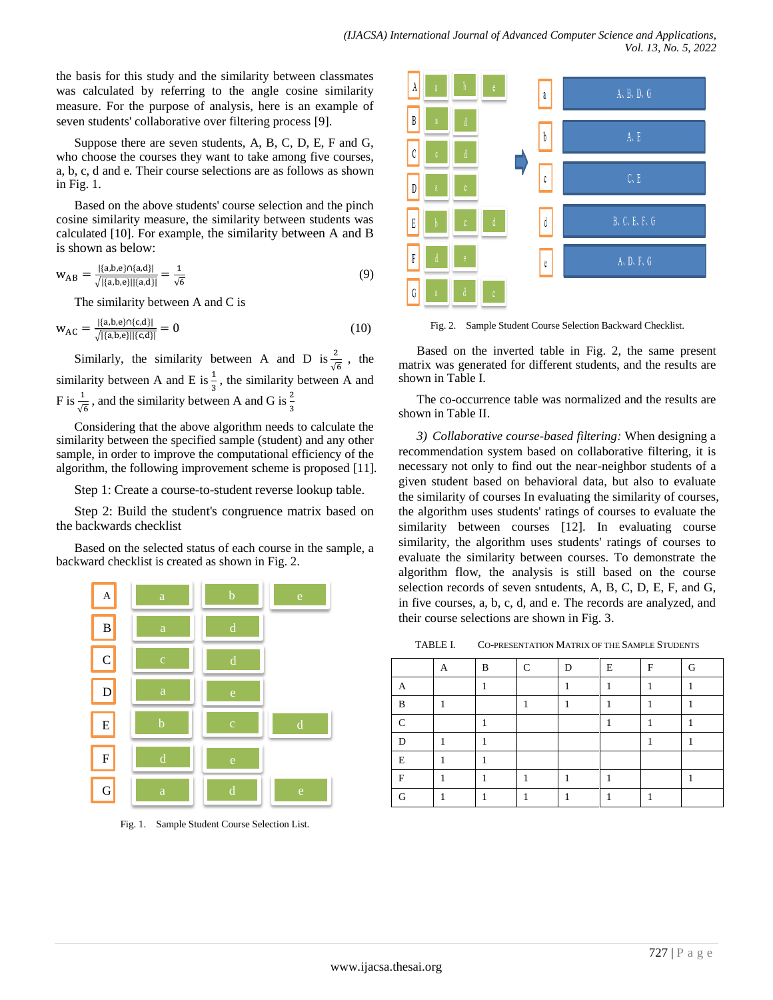the basis for this study and the similarity between classmates was calculated by referring to the angle cosine similarity measure. For the purpose of analysis, here is an example of seven students' collaborative over filtering process [9].

Suppose there are seven students, A, B, C, D, E, F and G, who choose the courses they want to take among five courses, a, b, c, d and e. Their course selections are as follows as shown in Fig. 1.

Based on the above students' course selection and the pinch cosine similarity measure, the similarity between students was calculated [10]. For example, the similarity between A and B is shown as below:

$$
W_{AB} = \frac{|\{a,b,e\} \cap \{a,d\}|}{\sqrt{|\{a,b,e\}| |\{a,d\}|}} = \frac{1}{\sqrt{6}}
$$
(9)

The similarity between A and C is

$$
w_{AC} = \frac{|\{a,b,e\} \cap \{c,d\}|}{\sqrt{|\{a,b,e\}| |\{c,d\}|}} = 0
$$
\n(10)

Similarly, the similarity between A and D is  $\frac{2}{\sqrt{6}}$ , the similarity between A and E is  $\frac{1}{3}$ , the similarity between A and F is  $\frac{1}{\sqrt{6}}$ , and the similarity between A and G is  $\frac{2}{3}$ 

Considering that the above algorithm needs to calculate the similarity between the specified sample (student) and any other sample, in order to improve the computational efficiency of the algorithm, the following improvement scheme is proposed [11].

Step 1: Create a course-to-student reverse lookup table.

Step 2: Build the student's congruence matrix based on the backwards checklist

Based on the selected status of each course in the sample, a backward checklist is created as shown in Fig. 2.



Fig. 1. Sample Student Course Selection List.



Fig. 2. Sample Student Course Selection Backward Checklist.

Based on the inverted table in Fig. 2, the same present matrix was generated for different students, and the results are shown in Table I.

The co-occurrence table was normalized and the results are shown in Table II.

*3) Collaborative course-based filtering:* When designing a recommendation system based on collaborative filtering, it is necessary not only to find out the near-neighbor students of a given student based on behavioral data, but also to evaluate the similarity of courses In evaluating the similarity of courses, the algorithm uses students' ratings of courses to evaluate the similarity between courses [12]. In evaluating course similarity, the algorithm uses students' ratings of courses to evaluate the similarity between courses. To demonstrate the algorithm flow, the analysis is still based on the course selection records of seven sntudents, A, B, C, D, E, F, and G, in five courses, a, b, c, d, and e. The records are analyzed, and their course selections are shown in Fig. 3.

TABLE I. CO-PRESENTATION MATRIX OF THE SAMPLE STUDENTS

|          | А | B | C | D | E | F | G |
|----------|---|---|---|---|---|---|---|
|          |   |   |   |   |   |   |   |
| B        |   |   |   |   |   |   |   |
| $\Gamma$ |   |   |   |   |   |   |   |
| D        |   |   |   |   |   |   |   |
| E        |   |   |   |   |   |   |   |
| F        |   |   |   |   |   |   |   |
| G        |   |   |   |   |   |   |   |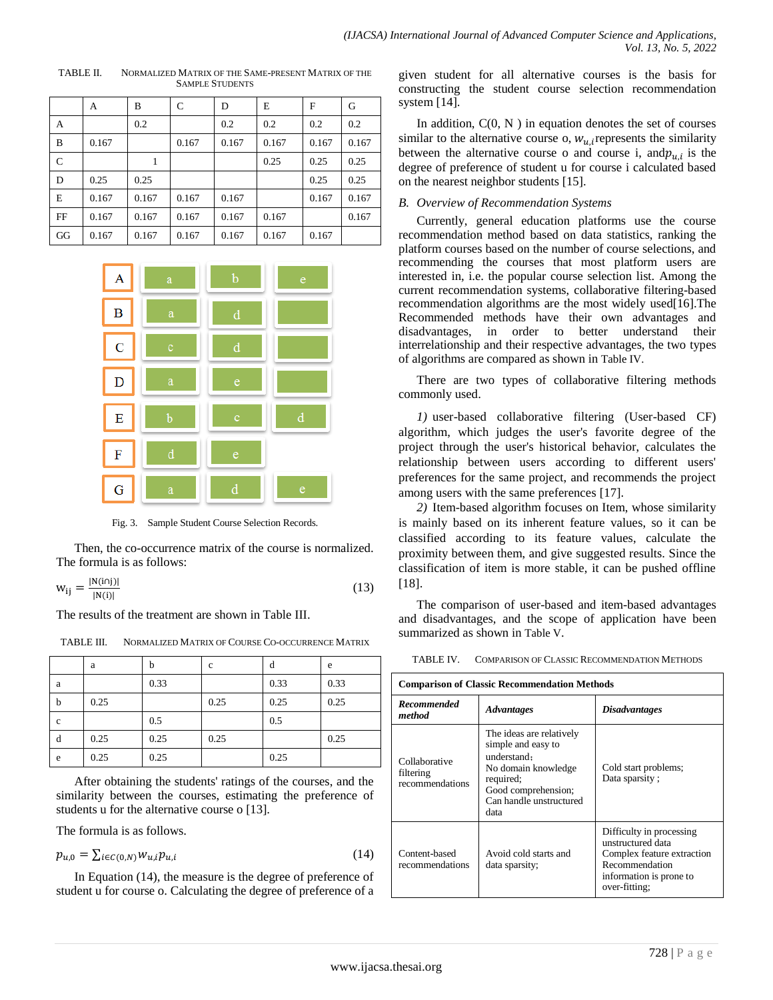|             | A     | В     | C     | D     | E     | F     | G     |
|-------------|-------|-------|-------|-------|-------|-------|-------|
| А           |       | 0.2   |       | 0.2   | 0.2   | 0.2   | 0.2   |
| B           | 0.167 |       | 0.167 | 0.167 | 0.167 | 0.167 | 0.167 |
| $\mathbf C$ |       |       |       |       | 0.25  | 0.25  | 0.25  |
| D           | 0.25  | 0.25  |       |       |       | 0.25  | 0.25  |
| E           | 0.167 | 0.167 | 0.167 | 0.167 |       | 0.167 | 0.167 |
| FF          | 0.167 | 0.167 | 0.167 | 0.167 | 0.167 |       | 0.167 |
| GG          | 0.167 | 0.167 | 0.167 | 0.167 | 0.167 | 0.167 |       |

TABLE II. NORMALIZED MATRIX OF THE SAME-PRESENT MATRIX OF THE SAMPLE STUDENTS



Fig. 3. Sample Student Course Selection Records.

Then, the co-occurrence matrix of the course is normalized. The formula is as follows:

$$
w_{ij} = \frac{|N(i \cap j)|}{|N(i)|} \tag{13}
$$

The results of the treatment are shown in Table III.

TABLE III. NORMALIZED MATRIX OF COURSE CO-OCCURRENCE MATRIX

|             | a    | b    | $\mathbf c$ | d    | e    |
|-------------|------|------|-------------|------|------|
| a           |      | 0.33 |             | 0.33 | 0.33 |
| $\mathbf b$ | 0.25 |      | 0.25        | 0.25 | 0.25 |
| $\mathbf c$ |      | 0.5  |             | 0.5  |      |
| d           | 0.25 | 0.25 | 0.25        |      | 0.25 |
| e           | 0.25 | 0.25 |             | 0.25 |      |

After obtaining the students' ratings of the courses, and the similarity between the courses, estimating the preference of students u for the alternative course o [13].

The formula is as follows.

$$
p_{u,0} = \sum_{i \in C(0,N)} w_{u,i} p_{u,i}
$$
 (14)

In Equation (14), the measure is the degree of preference of student u for course o. Calculating the degree of preference of a given student for all alternative courses is the basis for constructing the student course selection recommendation system [14].

In addition,  $C(0, N)$  in equation denotes the set of courses similar to the alternative course o,  $w_{u,i}$  represents the similarity between the alternative course o and course i, and  $p_{u,i}$  is the degree of preference of student u for course i calculated based on the nearest neighbor students [15].

## *B. Overview of Recommendation Systems*

Currently, general education platforms use the course recommendation method based on data statistics, ranking the platform courses based on the number of course selections, and recommending the courses that most platform users are interested in, i.e. the popular course selection list. Among the current recommendation systems, collaborative filtering-based recommendation algorithms are the most widely used[16].The Recommended methods have their own advantages and disadvantages, in order to better understand their interrelationship and their respective advantages, the two types of algorithms are compared as shown in Table IV.

There are two types of collaborative filtering methods commonly used.

*1)* user-based collaborative filtering (User-based CF) algorithm, which judges the user's favorite degree of the project through the user's historical behavior, calculates the relationship between users according to different users' preferences for the same project, and recommends the project among users with the same preferences [17].

*2)* Item-based algorithm focuses on Item, whose similarity is mainly based on its inherent feature values, so it can be classified according to its feature values, calculate the proximity between them, and give suggested results. Since the classification of item is more stable, it can be pushed offline [18].

The comparison of user-based and item-based advantages and disadvantages, and the scope of application have been summarized as shown in Table V.

TABLE IV. COMPARISON OF CLASSIC RECOMMENDATION METHODS

| <b>Comparison of Classic Recommendation Methods</b> |                                                                                                                                                             |                                                                                                                                           |  |  |  |  |
|-----------------------------------------------------|-------------------------------------------------------------------------------------------------------------------------------------------------------------|-------------------------------------------------------------------------------------------------------------------------------------------|--|--|--|--|
| <b>Recommended</b><br>method                        | <b>Advantages</b>                                                                                                                                           | <i><b>Disadvantages</b></i>                                                                                                               |  |  |  |  |
| Collaborative<br>filtering<br>recommendations       | The ideas are relatively<br>simple and easy to<br>understand:<br>No domain knowledge<br>required;<br>Good comprehension;<br>Can handle unstructured<br>data | Cold start problems;<br>Data sparsity;                                                                                                    |  |  |  |  |
| Content-based<br>recommendations                    | Avoid cold starts and<br>data sparsity;                                                                                                                     | Difficulty in processing<br>unstructured data<br>Complex feature extraction<br>Recommendation<br>information is prone to<br>over-fitting: |  |  |  |  |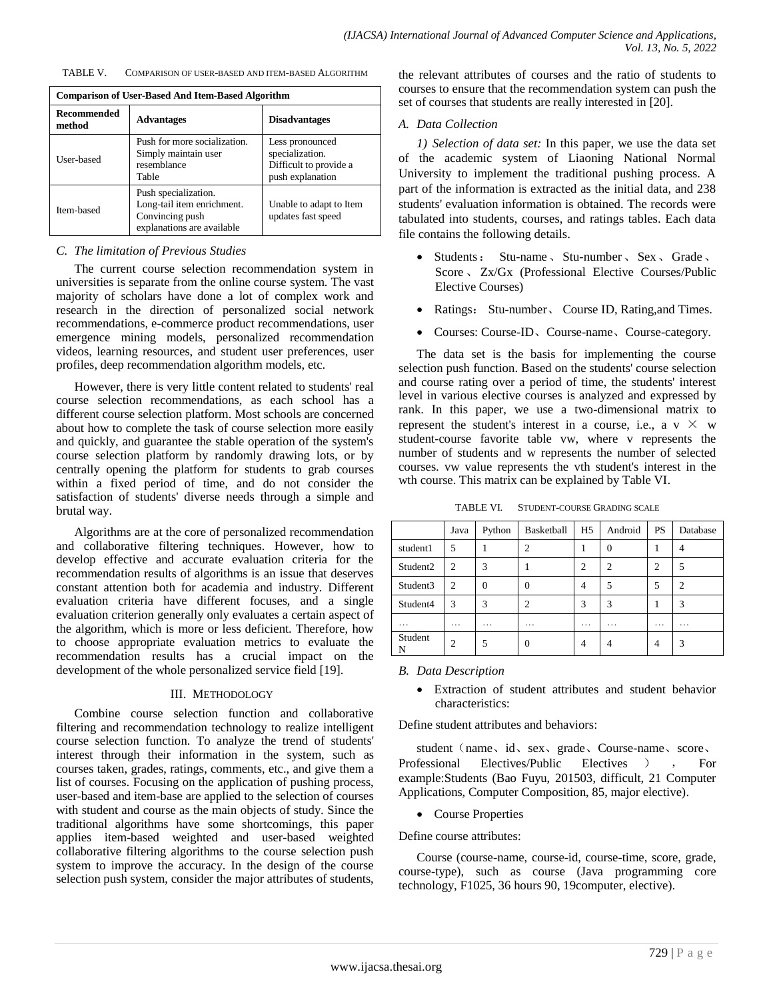| TABLE V. | COMPARISON OF USER-BASED AND ITEM-BASED ALGORITHM |
|----------|---------------------------------------------------|
|          |                                                   |

| <b>Comparison of User-Based And Item-Based Algorithm</b> |                                                                                                     |                                                                                  |  |  |  |  |
|----------------------------------------------------------|-----------------------------------------------------------------------------------------------------|----------------------------------------------------------------------------------|--|--|--|--|
| <b>Recommended</b><br>method                             | <b>Advantages</b>                                                                                   | <b>Disadvantages</b>                                                             |  |  |  |  |
| User-based                                               | Push for more socialization.<br>Simply maintain user<br>resemblance<br>Table                        | Less pronounced<br>specialization.<br>Difficult to provide a<br>push explanation |  |  |  |  |
| Item-based                                               | Push specialization.<br>Long-tail item enrichment.<br>Convincing push<br>explanations are available | Unable to adapt to Item<br>updates fast speed                                    |  |  |  |  |

## *C. The limitation of Previous Studies*

The current course selection recommendation system in universities is separate from the online course system. The vast majority of scholars have done a lot of complex work and research in the direction of personalized social network recommendations, e-commerce product recommendations, user emergence mining models, personalized recommendation videos, learning resources, and student user preferences, user profiles, deep recommendation algorithm models, etc.

However, there is very little content related to students' real course selection recommendations, as each school has a different course selection platform. Most schools are concerned about how to complete the task of course selection more easily and quickly, and guarantee the stable operation of the system's course selection platform by randomly drawing lots, or by centrally opening the platform for students to grab courses within a fixed period of time, and do not consider the satisfaction of students' diverse needs through a simple and brutal way.

Algorithms are at the core of personalized recommendation and collaborative filtering techniques. However, how to develop effective and accurate evaluation criteria for the recommendation results of algorithms is an issue that deserves constant attention both for academia and industry. Different evaluation criteria have different focuses, and a single evaluation criterion generally only evaluates a certain aspect of the algorithm, which is more or less deficient. Therefore, how to choose appropriate evaluation metrics to evaluate the recommendation results has a crucial impact on the development of the whole personalized service field [19].

#### III. METHODOLOGY

Combine course selection function and collaborative filtering and recommendation technology to realize intelligent course selection function. To analyze the trend of students' interest through their information in the system, such as courses taken, grades, ratings, comments, etc., and give them a list of courses. Focusing on the application of pushing process, user-based and item-base are applied to the selection of courses with student and course as the main objects of study. Since the traditional algorithms have some shortcomings, this paper applies item-based weighted and user-based weighted collaborative filtering algorithms to the course selection push system to improve the accuracy. In the design of the course selection push system, consider the major attributes of students, the relevant attributes of courses and the ratio of students to courses to ensure that the recommendation system can push the set of courses that students are really interested in [20].

### *A. Data Collection*

*1) Selection of data set:* In this paper, we use the data set of the academic system of Liaoning National Normal University to implement the traditional pushing process. A part of the information is extracted as the initial data, and 238 students' evaluation information is obtained. The records were tabulated into students, courses, and ratings tables. Each data file contains the following details.

- Students: Stu-name、Stu-number、Sex、Grade、 Score 、 Zx/Gx (Professional Elective Courses/Public Elective Courses)
- Ratings: Stu-number、 Course ID, Rating,and Times.
- Courses: Course-ID、Course-name、Course-category.

The data set is the basis for implementing the course selection push function. Based on the students' course selection and course rating over a period of time, the students' interest level in various elective courses is analyzed and expressed by rank. In this paper, we use a two-dimensional matrix to represent the student's interest in a course, i.e., a v  $\times$  w student-course favorite table vw, where v represents the number of students and w represents the number of selected courses. vw value represents the vth student's interest in the wth course. This matrix can be explained by Table VI.

TABLE VI. STUDENT-COURSE GRADING SCALE

|          | Java           | Python   | Basketball     | H5             | Android       | <b>PS</b>      | Database |
|----------|----------------|----------|----------------|----------------|---------------|----------------|----------|
| student1 | 5              |          | C              |                | $\theta$      |                |          |
| Student2 | $\overline{c}$ | 3        |                | $\overline{c}$ | $\mathcal{D}$ | $\overline{c}$ |          |
| Student3 | $\overline{c}$ | 0        | 0              | 4              | 5             | 5              |          |
| Student4 | 3              | 3        | $\overline{c}$ | 3              | 3             |                | 3        |
| .        | .              | $\cdots$ | .              | .              | .             | $\cdots$       | .        |
| Student  | $\overline{c}$ |          | 0              | 4              |               | 4              | 3        |

#### *B. Data Description*

 Extraction of student attributes and student behavior characteristics:

Define student attributes and behaviors:

student (name、id、sex、grade、Course-name、score、 Professional Electives/Public Electives ) , For example:Students (Bao Fuyu, 201503, difficult, 21 Computer Applications, Computer Composition, 85, major elective).

• Course Properties

#### Define course attributes:

Course (course-name, course-id, course-time, score, grade, course-type), such as course (Java programming core technology, F1025, 36 hours 90, 19computer, elective).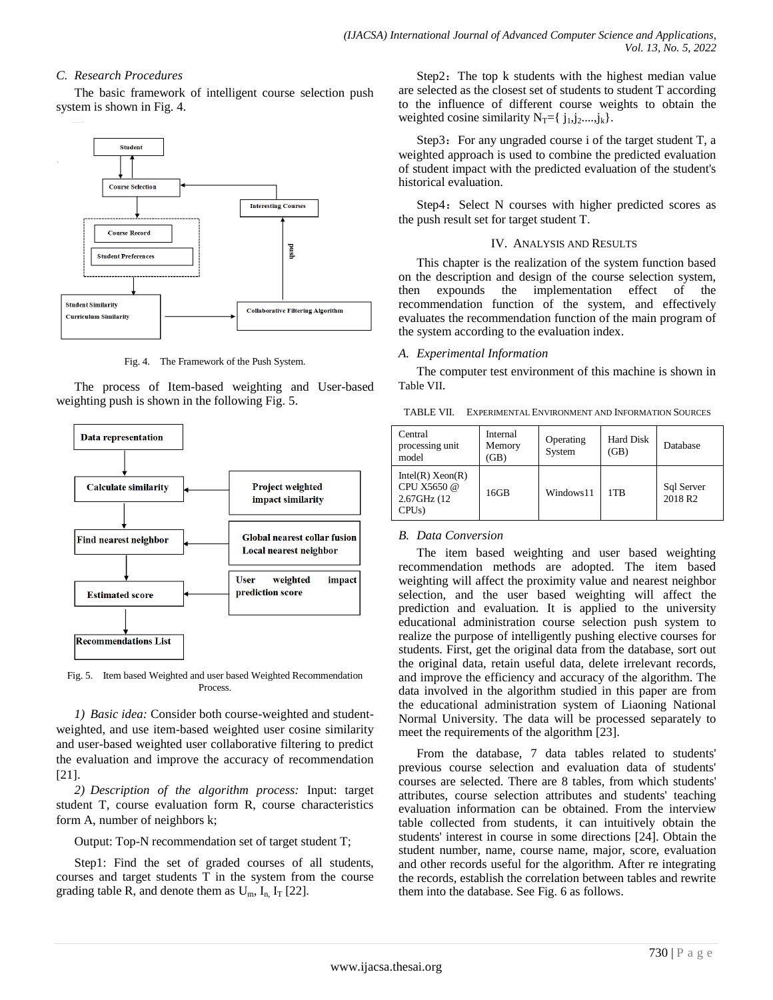## *C. Research Procedures*

The basic framework of intelligent course selection push system is shown in Fig. 4.



Fig. 4. The Framework of the Push System.

The process of Item-based weighting and User-based weighting push is shown in the following Fig. 5.



Fig. 5. Item based Weighted and user based Weighted Recommendation Process.

*1) Basic idea:* Consider both course-weighted and studentweighted, and use item-based weighted user cosine similarity and user-based weighted user collaborative filtering to predict the evaluation and improve the accuracy of recommendation [21].

*2) Description of the algorithm process:* Input: target student T, course evaluation form R, course characteristics form A, number of neighbors k;

Output: Top-N recommendation set of target student T;

Step1: Find the set of graded courses of all students, courses and target students T in the system from the course grading table R, and denote them as  $U_m$ ,  $I_n$ ,  $I_T$  [22].

Step2: The top k students with the highest median value are selected as the closest set of students to student T according to the influence of different course weights to obtain the weighted cosine similarity  $N_T = \{ j_1, j_2, \ldots, j_k \}.$ 

Step3: For any ungraded course i of the target student T, a weighted approach is used to combine the predicted evaluation of student impact with the predicted evaluation of the student's historical evaluation.

Step4: Select N courses with higher predicted scores as the push result set for target student T.

## IV. ANALYSIS AND RESULTS

This chapter is the realization of the system function based on the description and design of the course selection system, then expounds the implementation effect of the recommendation function of the system, and effectively evaluates the recommendation function of the main program of the system according to the evaluation index.

## *A. Experimental Information*

The computer test environment of this machine is shown in Table VII.

TABLE VII. EXPERIMENTAL ENVIRONMENT AND INFORMATION SOURCES

| Central<br>processing unit<br>model                                   | Internal<br>Memory<br>(GB) | Operating<br>System | Hard Disk<br>(GB) | Database                          |
|-----------------------------------------------------------------------|----------------------------|---------------------|-------------------|-----------------------------------|
| Intel(R) Xeon(R)<br>CPU X5650 @<br>2.67GHz (12)<br>CPU <sub>s</sub> ) | 16GB                       | Windows11           | 1T <sub>R</sub>   | Sql Server<br>2018 R <sub>2</sub> |

# *B. Data Conversion*

The item based weighting and user based weighting recommendation methods are adopted. The item based weighting will affect the proximity value and nearest neighbor selection, and the user based weighting will affect the prediction and evaluation. It is applied to the university educational administration course selection push system to realize the purpose of intelligently pushing elective courses for students. First, get the original data from the database, sort out the original data, retain useful data, delete irrelevant records, and improve the efficiency and accuracy of the algorithm. The data involved in the algorithm studied in this paper are from the educational administration system of Liaoning National Normal University. The data will be processed separately to meet the requirements of the algorithm [23].

From the database, 7 data tables related to students' previous course selection and evaluation data of students' courses are selected. There are 8 tables, from which students' attributes, course selection attributes and students' teaching evaluation information can be obtained. From the interview table collected from students, it can intuitively obtain the students' interest in course in some directions [24]. Obtain the student number, name, course name, major, score, evaluation and other records useful for the algorithm. After re integrating the records, establish the correlation between tables and rewrite them into the database. See Fig. 6 as follows.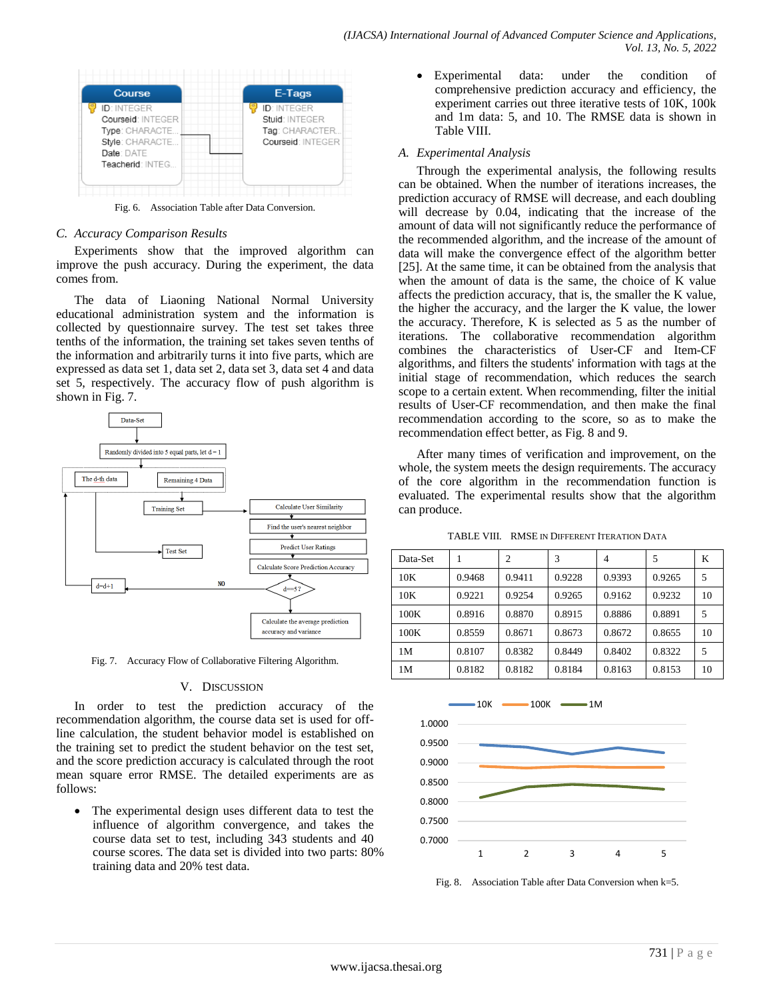

Fig. 6. Association Table after Data Conversion.

## *C. Accuracy Comparison Results*

Experiments show that the improved algorithm can improve the push accuracy. During the experiment, the data comes from.

The data of Liaoning National Normal University educational administration system and the information is collected by questionnaire survey. The test set takes three tenths of the information, the training set takes seven tenths of the information and arbitrarily turns it into five parts, which are expressed as data set 1, data set 2, data set 3, data set 4 and data set 5, respectively. The accuracy flow of push algorithm is shown in Fig. 7.



Fig. 7. Accuracy Flow of Collaborative Filtering Algorithm.

## V. DISCUSSION

In order to test the prediction accuracy of the recommendation algorithm, the course data set is used for offline calculation, the student behavior model is established on the training set to predict the student behavior on the test set, and the score prediction accuracy is calculated through the root mean square error RMSE. The detailed experiments are as follows:

 The experimental design uses different data to test the influence of algorithm convergence, and takes the course data set to test, including 343 students and 40 course scores. The data set is divided into two parts: 80% training data and 20% test data.

 Experimental data: under the condition of comprehensive prediction accuracy and efficiency, the experiment carries out three iterative tests of 10K, 100k and 1m data: 5, and 10. The RMSE data is shown in Table VIII.

## *A. Experimental Analysis*

Through the experimental analysis, the following results can be obtained. When the number of iterations increases, the prediction accuracy of RMSE will decrease, and each doubling will decrease by 0.04, indicating that the increase of the amount of data will not significantly reduce the performance of the recommended algorithm, and the increase of the amount of data will make the convergence effect of the algorithm better [25]. At the same time, it can be obtained from the analysis that when the amount of data is the same, the choice of K value affects the prediction accuracy, that is, the smaller the K value, the higher the accuracy, and the larger the K value, the lower the accuracy. Therefore, K is selected as 5 as the number of iterations. The collaborative recommendation algorithm combines the characteristics of User-CF and Item-CF algorithms, and filters the students' information with tags at the initial stage of recommendation, which reduces the search scope to a certain extent. When recommending, filter the initial results of User-CF recommendation, and then make the final recommendation according to the score, so as to make the recommendation effect better, as Fig. 8 and 9.

After many times of verification and improvement, on the whole, the system meets the design requirements. The accuracy of the core algorithm in the recommendation function is evaluated. The experimental results show that the algorithm can produce.

TABLE VIII. RMSE IN DIFFERENT ITERATION DATA

| Data-Set |        | $\overline{c}$ | 3      | 4      | 5      | K  |
|----------|--------|----------------|--------|--------|--------|----|
| 10K      | 0.9468 | 0.9411         | 0.9228 | 0.9393 | 0.9265 | 5  |
| 10K      | 0.9221 | 0.9254         | 0.9265 | 0.9162 | 0.9232 | 10 |
| 100K     | 0.8916 | 0.8870         | 0.8915 | 0.8886 | 0.8891 | 5  |
| 100K     | 0.8559 | 0.8671         | 0.8673 | 0.8672 | 0.8655 | 10 |
| 1M       | 0.8107 | 0.8382         | 0.8449 | 0.8402 | 0.8322 | 5  |
| 1M       | 0.8182 | 0.8182         | 0.8184 | 0.8163 | 0.8153 | 10 |



Fig. 8. Association Table after Data Conversion when k=5.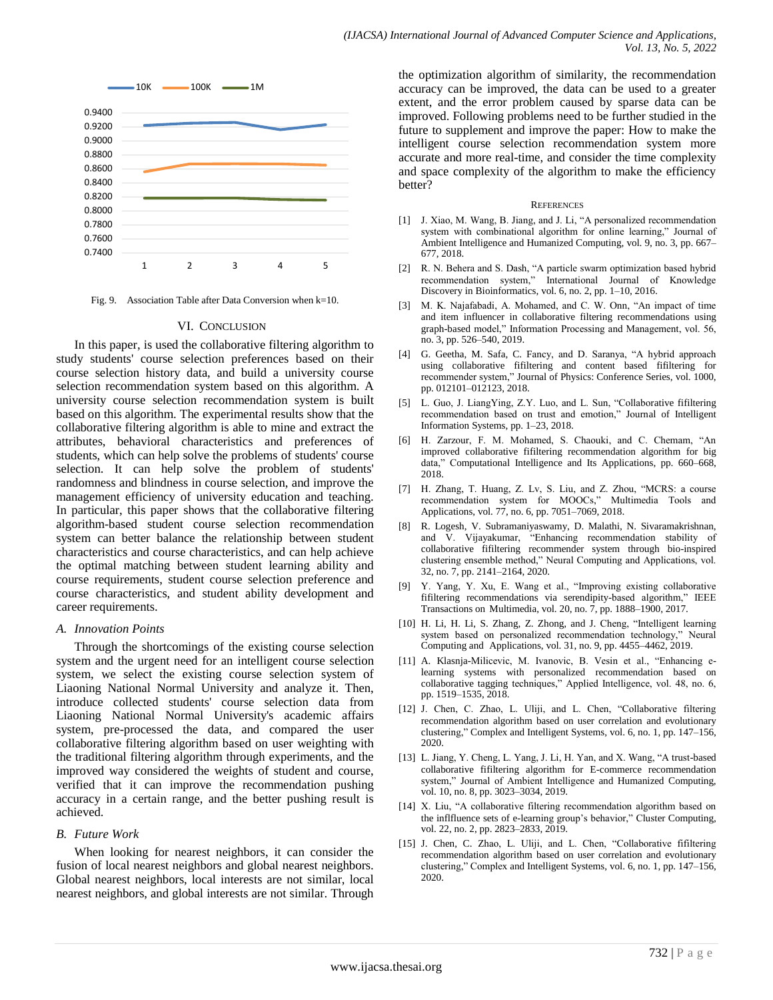

Fig. 9. Association Table after Data Conversion when k=10.

#### VI. CONCLUSION

In this paper, is used the collaborative filtering algorithm to study students' course selection preferences based on their course selection history data, and build a university course selection recommendation system based on this algorithm. A university course selection recommendation system is built based on this algorithm. The experimental results show that the collaborative filtering algorithm is able to mine and extract the attributes, behavioral characteristics and preferences of students, which can help solve the problems of students' course selection. It can help solve the problem of students' randomness and blindness in course selection, and improve the management efficiency of university education and teaching. In particular, this paper shows that the collaborative filtering algorithm-based student course selection recommendation system can better balance the relationship between student characteristics and course characteristics, and can help achieve the optimal matching between student learning ability and course requirements, student course selection preference and course characteristics, and student ability development and career requirements.

## *A. Innovation Points*

Through the shortcomings of the existing course selection system and the urgent need for an intelligent course selection system, we select the existing course selection system of Liaoning National Normal University and analyze it. Then, introduce collected students' course selection data from Liaoning National Normal University's academic affairs system, pre-processed the data, and compared the user collaborative filtering algorithm based on user weighting with the traditional filtering algorithm through experiments, and the improved way considered the weights of student and course, verified that it can improve the recommendation pushing accuracy in a certain range, and the better pushing result is achieved.

## *B. Future Work*

When looking for nearest neighbors, it can consider the fusion of local nearest neighbors and global nearest neighbors. Global nearest neighbors, local interests are not similar, local nearest neighbors, and global interests are not similar. Through the optimization algorithm of similarity, the recommendation accuracy can be improved, the data can be used to a greater extent, and the error problem caused by sparse data can be improved. Following problems need to be further studied in the future to supplement and improve the paper: How to make the intelligent course selection recommendation system more accurate and more real-time, and consider the time complexity and space complexity of the algorithm to make the efficiency better?

#### **REFERENCES**

- [1] J. Xiao, M. Wang, B. Jiang, and J. Li, "A personalized recommendation system with combinational algorithm for online learning," Journal of Ambient Intelligence and Humanized Computing, vol. 9, no. 3, pp. 667– 677, 2018.
- [2] R. N. Behera and S. Dash, "A particle swarm optimization based hybrid recommendation system," International Journal of Knowledge Discovery in Bioinformatics, vol. 6, no. 2, pp. 1–10, 2016.
- [3] M. K. Najafabadi, A. Mohamed, and C. W. Onn, "An impact of time and item influencer in collaborative filtering recommendations using graph-based model," Information Processing and Management, vol. 56, no. 3, pp. 526–540, 2019.
- [4] G. Geetha, M. Safa, C. Fancy, and D. Saranya, "A hybrid approach using collaborative fifiltering and content based fifiltering for recommender system," Journal of Physics: Conference Series, vol. 1000, pp. 012101–012123, 2018.
- [5] L. Guo, J. LiangYing, Z.Y. Luo, and L. Sun, "Collaborative fifiltering recommendation based on trust and emotion," Journal of Intelligent Information Systems, pp. 1–23, 2018.
- [6] H. Zarzour, F. M. Mohamed, S. Chaouki, and C. Chemam, "An improved collaborative fifiltering recommendation algorithm for big data," Computational Intelligence and Its Applications, pp. 660–668, 2018.
- [7] H. Zhang, T. Huang, Z. Lv, S. Liu, and Z. Zhou, "MCRS: a course recommendation system for MOOCs," Multimedia Tools and Applications, vol. 77, no. 6, pp. 7051–7069, 2018.
- [8] R. Logesh, V. Subramaniyaswamy, D. Malathi, N. Sivaramakrishnan, and V. Vijayakumar, "Enhancing recommendation stability of collaborative fifiltering recommender system through bio-inspired clustering ensemble method," Neural Computing and Applications, vol. 32, no. 7, pp. 2141–2164, 2020.
- [9] Y. Yang, Y. Xu, E. Wang et al., "Improving existing collaborative fifiltering recommendations via serendipity-based algorithm," IEEE Transactions on Multimedia, vol. 20, no. 7, pp. 1888–1900, 2017.
- [10] H. Li, H. Li, S. Zhang, Z. Zhong, and J. Cheng, "Intelligent learning system based on personalized recommendation technology," Neural Computing and Applications, vol. 31, no. 9, pp. 4455–4462, 2019.
- [11] A. Klasnja-Milicevic, M. Ivanovic, B. Vesin et al., "Enhancing elearning systems with personalized recommendation based on collaborative tagging techniques," Applied Intelligence, vol. 48, no. 6, pp. 1519–1535, 2018.
- [12] J. Chen, C. Zhao, L. Uliji, and L. Chen, "Collaborative filtering recommendation algorithm based on user correlation and evolutionary clustering," Complex and Intelligent Systems, vol. 6, no. 1, pp. 147–156, 2020.
- [13] L. Jiang, Y. Cheng, L. Yang, J. Li, H. Yan, and X. Wang, "A trust-based collaborative fifiltering algorithm for E-commerce recommendation system," Journal of Ambient Intelligence and Humanized Computing, vol. 10, no. 8, pp. 3023–3034, 2019.
- [14] X. Liu, "A collaborative filtering recommendation algorithm based on the inflfluence sets of e-learning group's behavior," Cluster Computing, vol. 22, no. 2, pp. 2823–2833, 2019.
- [15] J. Chen, C. Zhao, L. Uliji, and L. Chen, "Collaborative fifiltering recommendation algorithm based on user correlation and evolutionary clustering," Complex and Intelligent Systems, vol. 6, no. 1, pp. 147–156, 2020.